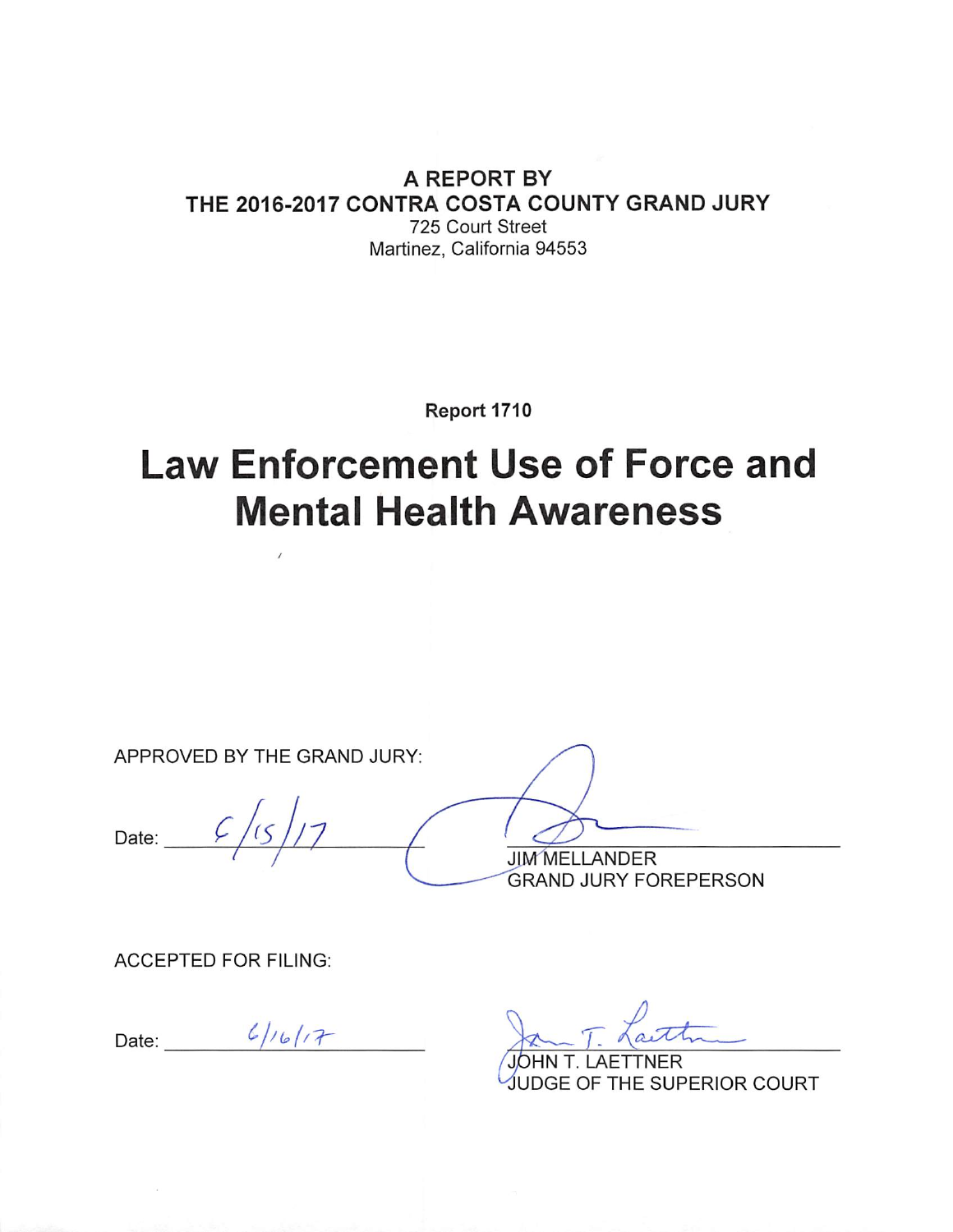#### A REPORT BY THE 2016-2017 CONTRA COSTA COUNTY GRAND JURY 725 Court Street Martinez, California 94553

Report 1710

# **Law Enforcement Use of Force and Mental Health Awareness**

APPROVED BY THE GRAND JURY:

Date:  $\overline{\phantom{a}}$ 

**JIM MELLANDER GRAND JURY FOREPERSON** 

**ACCEPTED FOR FILING:** 

Date:  $6/16/17$ 

**AETTNER** UDGE OF THE SUPERIOR COURT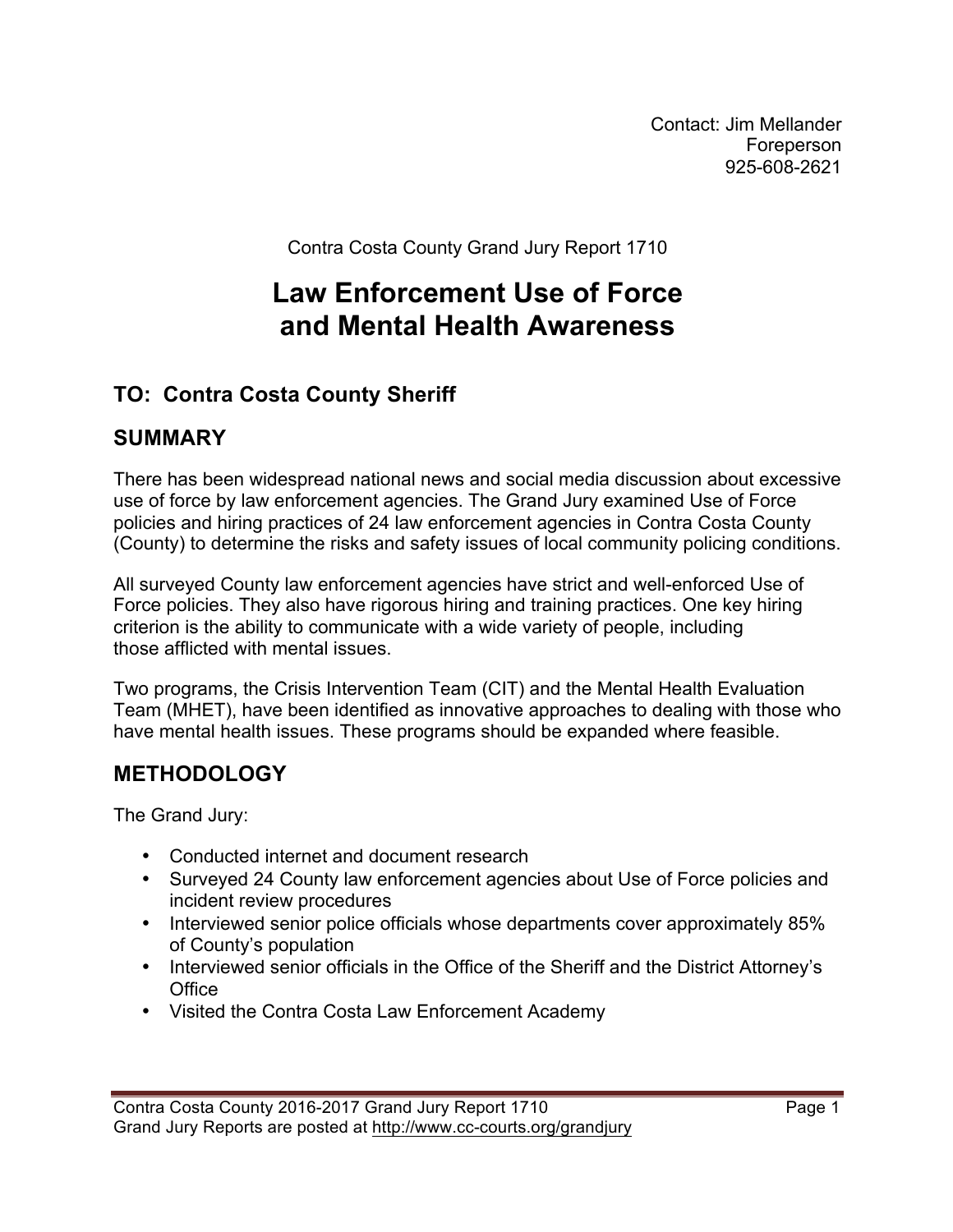Contact: Jim Mellander Foreperson 925-608-2621

Contra Costa County Grand Jury Report 1710

# **Law Enforcement Use of Force and Mental Health Awareness**

# **TO: Contra Costa County Sheriff**

# **SUMMARY**

There has been widespread national news and social media discussion about excessive use of force by law enforcement agencies. The Grand Jury examined Use of Force policies and hiring practices of 24 law enforcement agencies in Contra Costa County (County) to determine the risks and safety issues of local community policing conditions.

All surveyed County law enforcement agencies have strict and well-enforced Use of Force policies. They also have rigorous hiring and training practices. One key hiring criterion is the ability to communicate with a wide variety of people, including those afflicted with mental issues.

Two programs, the Crisis Intervention Team (CIT) and the Mental Health Evaluation Team (MHET), have been identified as innovative approaches to dealing with those who have mental health issues. These programs should be expanded where feasible.

# **METHODOLOGY**

The Grand Jury:

- Conducted internet and document research
- Surveyed 24 County law enforcement agencies about Use of Force policies and incident review procedures
- Interviewed senior police officials whose departments cover approximately 85% of County's population
- Interviewed senior officials in the Office of the Sheriff and the District Attorney's **Office**
- Visited the Contra Costa Law Enforcement Academy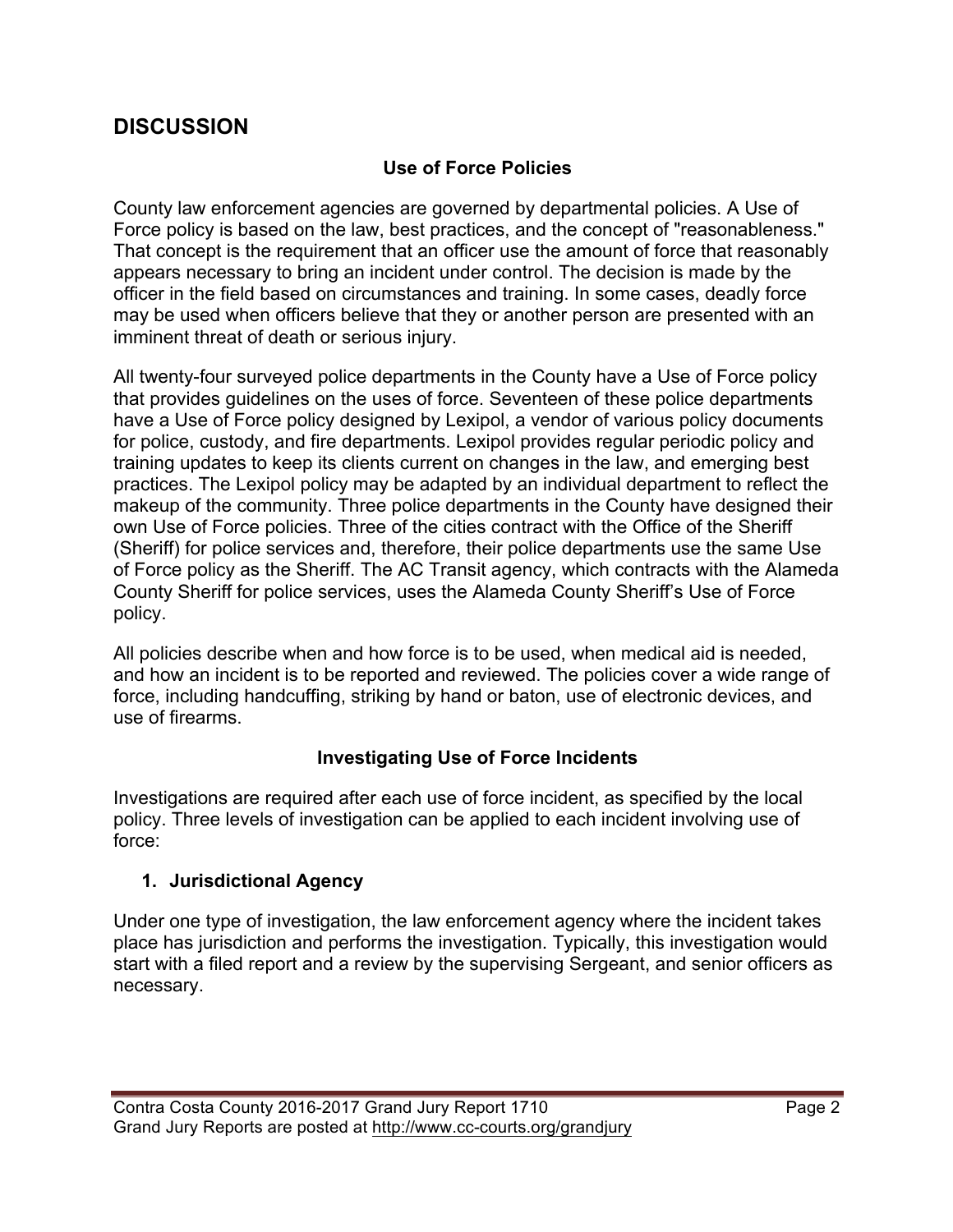# **DISCUSSION**

#### **Use of Force Policies**

County law enforcement agencies are governed by departmental policies. A Use of Force policy is based on the law, best practices, and the concept of "reasonableness." That concept is the requirement that an officer use the amount of force that reasonably appears necessary to bring an incident under control. The decision is made by the officer in the field based on circumstances and training. In some cases, deadly force may be used when officers believe that they or another person are presented with an imminent threat of death or serious injury.

All twenty-four surveyed police departments in the County have a Use of Force policy that provides guidelines on the uses of force. Seventeen of these police departments have a Use of Force policy designed by Lexipol, a vendor of various policy documents for police, custody, and fire departments. Lexipol provides regular periodic policy and training updates to keep its clients current on changes in the law, and emerging best practices. The Lexipol policy may be adapted by an individual department to reflect the makeup of the community. Three police departments in the County have designed their own Use of Force policies. Three of the cities contract with the Office of the Sheriff (Sheriff) for police services and, therefore, their police departments use the same Use of Force policy as the Sheriff. The AC Transit agency, which contracts with the Alameda County Sheriff for police services, uses the Alameda County Sheriff's Use of Force policy.

All policies describe when and how force is to be used, when medical aid is needed, and how an incident is to be reported and reviewed. The policies cover a wide range of force, including handcuffing, striking by hand or baton, use of electronic devices, and use of firearms.

#### **Investigating Use of Force Incidents**

Investigations are required after each use of force incident, as specified by the local policy. Three levels of investigation can be applied to each incident involving use of force:

#### **1. Jurisdictional Agency**

Under one type of investigation, the law enforcement agency where the incident takes place has jurisdiction and performs the investigation. Typically, this investigation would start with a filed report and a review by the supervising Sergeant, and senior officers as necessary.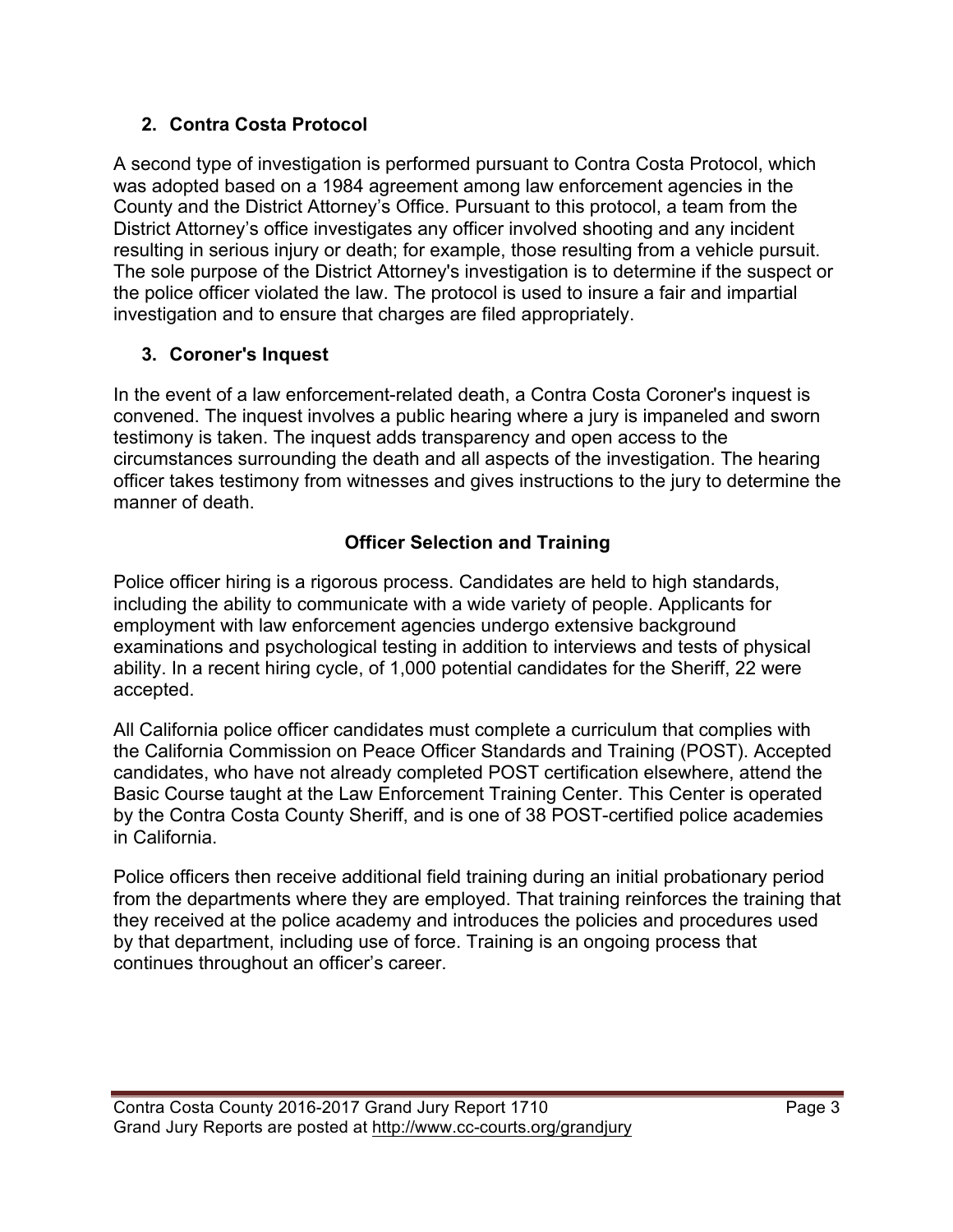#### **2. Contra Costa Protocol**

A second type of investigation is performed pursuant to Contra Costa Protocol, which was adopted based on a 1984 agreement among law enforcement agencies in the County and the District Attorney's Office. Pursuant to this protocol, a team from the District Attorney's office investigates any officer involved shooting and any incident resulting in serious injury or death; for example, those resulting from a vehicle pursuit. The sole purpose of the District Attorney's investigation is to determine if the suspect or the police officer violated the law. The protocol is used to insure a fair and impartial investigation and to ensure that charges are filed appropriately.

# **3. Coroner's Inquest**

In the event of a law enforcement-related death, a Contra Costa Coroner's inquest is convened. The inquest involves a public hearing where a jury is impaneled and sworn testimony is taken. The inquest adds transparency and open access to the circumstances surrounding the death and all aspects of the investigation. The hearing officer takes testimony from witnesses and gives instructions to the jury to determine the manner of death.

# **Officer Selection and Training**

Police officer hiring is a rigorous process. Candidates are held to high standards, including the ability to communicate with a wide variety of people. Applicants for employment with law enforcement agencies undergo extensive background examinations and psychological testing in addition to interviews and tests of physical ability. In a recent hiring cycle, of 1,000 potential candidates for the Sheriff, 22 were accepted.

All California police officer candidates must complete a curriculum that complies with the California Commission on Peace Officer Standards and Training (POST). Accepted candidates, who have not already completed POST certification elsewhere, attend the Basic Course taught at the Law Enforcement Training Center. This Center is operated by the Contra Costa County Sheriff, and is one of 38 POST-certified police academies in California.

Police officers then receive additional field training during an initial probationary period from the departments where they are employed. That training reinforces the training that they received at the police academy and introduces the policies and procedures used by that department, including use of force. Training is an ongoing process that continues throughout an officer's career.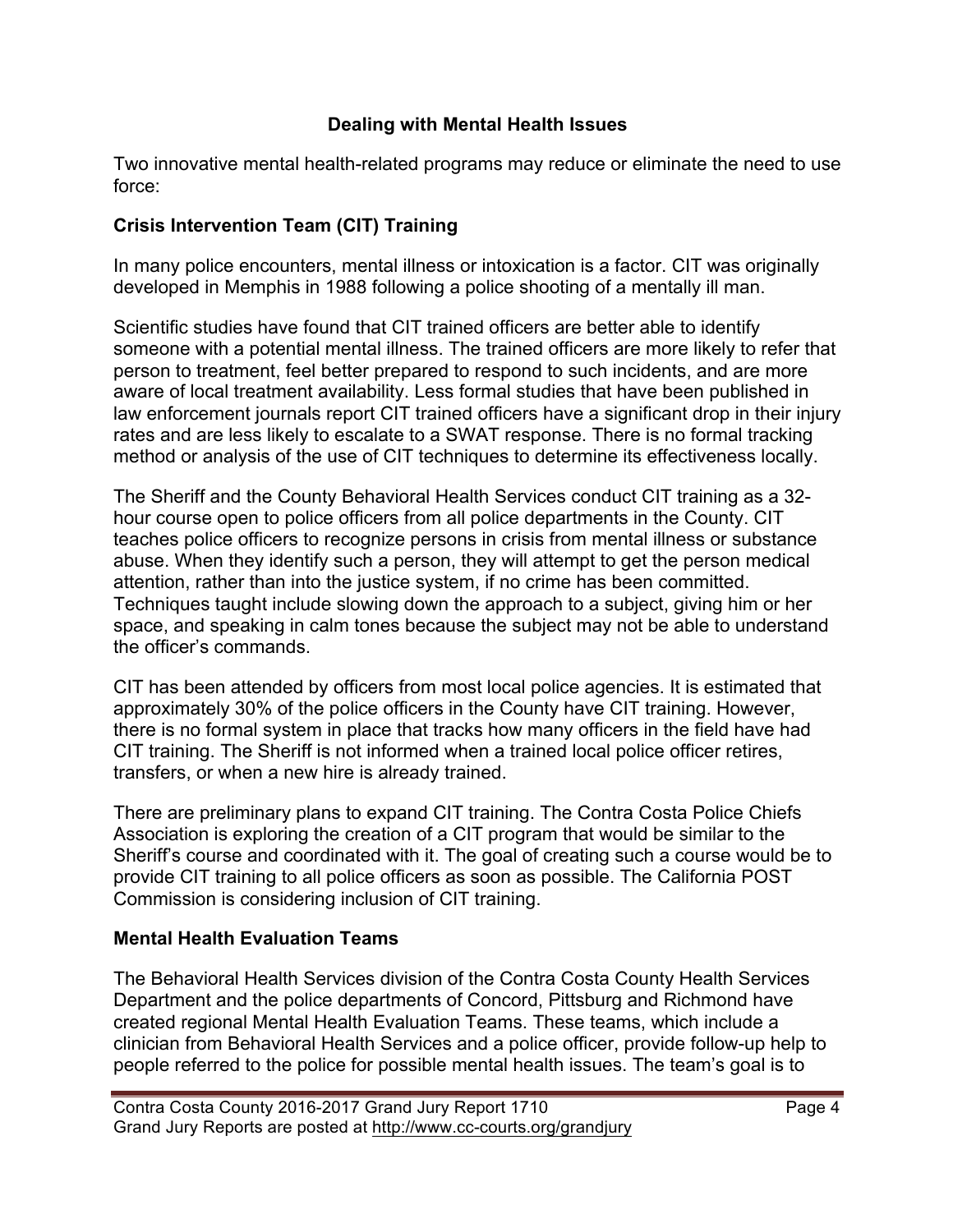#### **Dealing with Mental Health Issues**

Two innovative mental health-related programs may reduce or eliminate the need to use force:

#### **Crisis Intervention Team (CIT) Training**

In many police encounters, mental illness or intoxication is a factor. CIT was originally developed in Memphis in 1988 following a police shooting of a mentally ill man.

Scientific studies have found that CIT trained officers are better able to identify someone with a potential mental illness. The trained officers are more likely to refer that person to treatment, feel better prepared to respond to such incidents, and are more aware of local treatment availability. Less formal studies that have been published in law enforcement journals report CIT trained officers have a significant drop in their injury rates and are less likely to escalate to a SWAT response. There is no formal tracking method or analysis of the use of CIT techniques to determine its effectiveness locally.

The Sheriff and the County Behavioral Health Services conduct CIT training as a 32 hour course open to police officers from all police departments in the County. CIT teaches police officers to recognize persons in crisis from mental illness or substance abuse. When they identify such a person, they will attempt to get the person medical attention, rather than into the justice system, if no crime has been committed. Techniques taught include slowing down the approach to a subject, giving him or her space, and speaking in calm tones because the subject may not be able to understand the officer's commands.

CIT has been attended by officers from most local police agencies. It is estimated that approximately 30% of the police officers in the County have CIT training. However, there is no formal system in place that tracks how many officers in the field have had CIT training. The Sheriff is not informed when a trained local police officer retires, transfers, or when a new hire is already trained.

There are preliminary plans to expand CIT training. The Contra Costa Police Chiefs Association is exploring the creation of a CIT program that would be similar to the Sheriff's course and coordinated with it. The goal of creating such a course would be to provide CIT training to all police officers as soon as possible. The California POST Commission is considering inclusion of CIT training.

#### **Mental Health Evaluation Teams**

The Behavioral Health Services division of the Contra Costa County Health Services Department and the police departments of Concord, Pittsburg and Richmond have created regional Mental Health Evaluation Teams. These teams, which include a clinician from Behavioral Health Services and a police officer, provide follow-up help to people referred to the police for possible mental health issues. The team's goal is to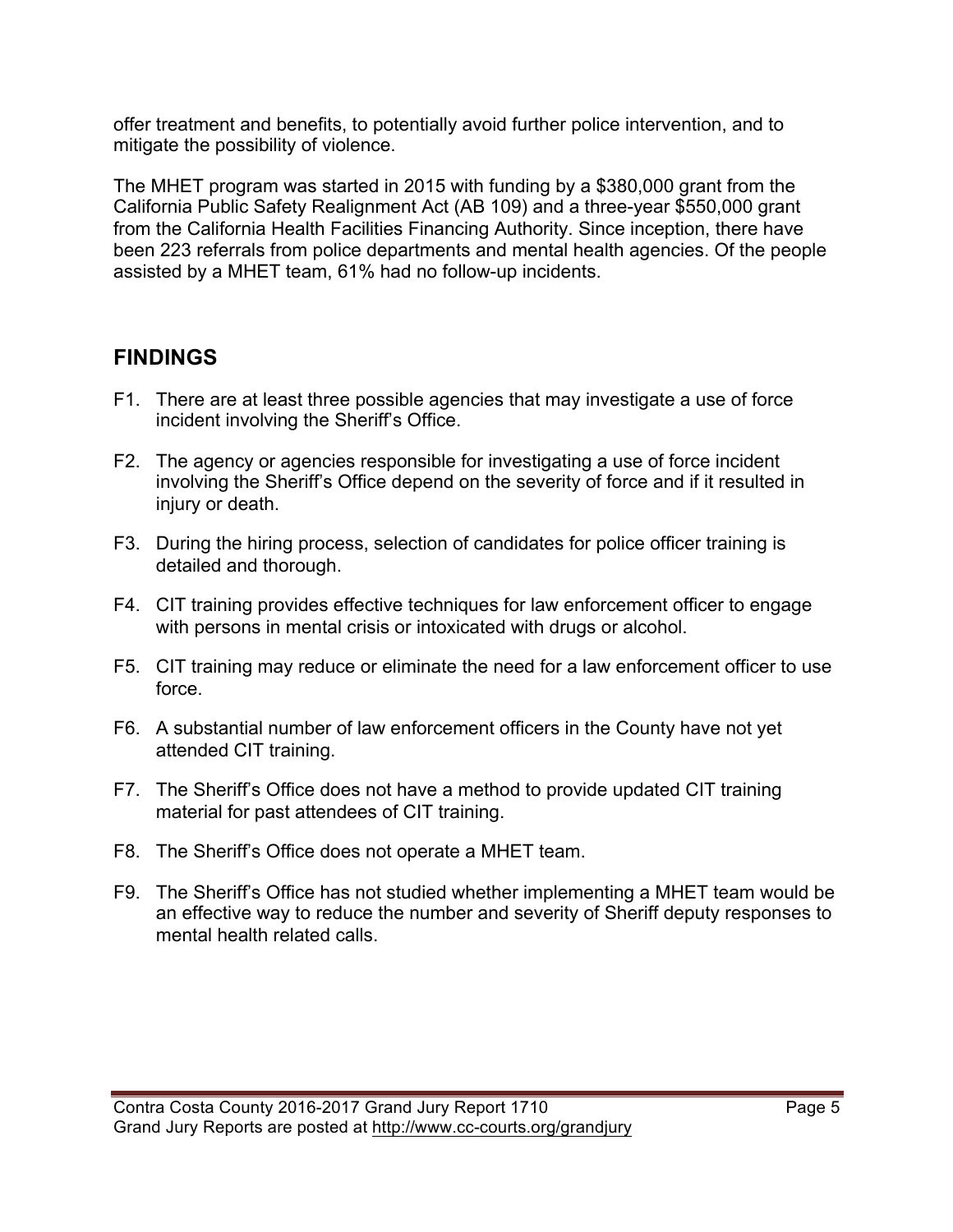offer treatment and benefits, to potentially avoid further police intervention, and to mitigate the possibility of violence.

The MHET program was started in 2015 with funding by a \$380,000 grant from the California Public Safety Realignment Act (AB 109) and a three-year \$550,000 grant from the California Health Facilities Financing Authority. Since inception, there have been 223 referrals from police departments and mental health agencies. Of the people assisted by a MHET team, 61% had no follow-up incidents.

# **FINDINGS**

- F1. There are at least three possible agencies that may investigate a use of force incident involving the Sheriff's Office.
- F2. The agency or agencies responsible for investigating a use of force incident involving the Sheriff's Office depend on the severity of force and if it resulted in injury or death.
- F3. During the hiring process, selection of candidates for police officer training is detailed and thorough.
- F4. CIT training provides effective techniques for law enforcement officer to engage with persons in mental crisis or intoxicated with drugs or alcohol.
- F5. CIT training may reduce or eliminate the need for a law enforcement officer to use force.
- F6. A substantial number of law enforcement officers in the County have not yet attended CIT training.
- F7. The Sheriff's Office does not have a method to provide updated CIT training material for past attendees of CIT training.
- F8. The Sheriff's Office does not operate a MHET team.
- F9. The Sheriff's Office has not studied whether implementing a MHET team would be an effective way to reduce the number and severity of Sheriff deputy responses to mental health related calls.